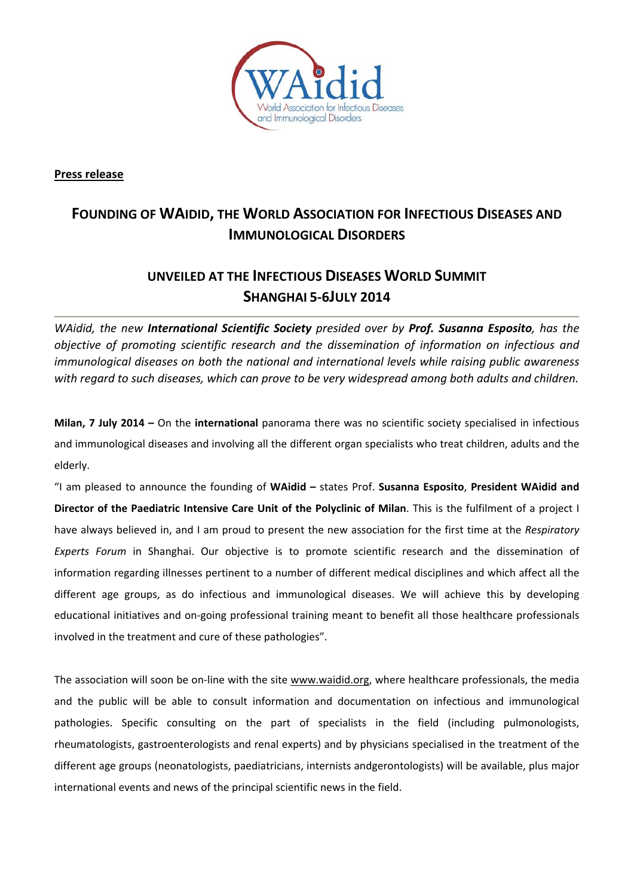

**Press release**

## **FOUNDING OF WAIDID, THE WORLD ASSOCIATION FOR INFECTIOUS DISEASES AND IMMUNOLOGICAL DISORDERS**

## **UNVEILED AT THE INFECTIOUS DISEASES WORLD SUMMIT SHANGHAI 5‐6JULY 2014**

*WAidid, the new International Scientific Society presided over by Prof. Susanna Esposito, has the objective of promoting scientific research and the dissemination of information on infectious and immunological diseases on both the national and international levels while raising public awareness with regard to such diseases, which can prove to be very widespread among both adults and children.*

**Milan, 7 July 2014 –** On the **international** panorama there was no scientific society specialised in infectious and immunological diseases and involving all the different organ specialists who treat children, adults and the elderly.

"I am pleased to announce the founding of **WAidid –** states Prof. **Susanna Esposito**, **President WAidid and Director of the Paediatric Intensive Care Unit of the Polyclinic of Milan**. This is the fulfilment of a project I have always believed in, and I am proud to present the new association for the first time at the *Respiratory Experts Forum* in Shanghai. Our objective is to promote scientific research and the dissemination of information regarding illnesses pertinent to a number of different medical disciplines and which affect all the different age groups, as do infectious and immunological diseases. We will achieve this by developing educational initiatives and on‐going professional training meant to benefit all those healthcare professionals involved in the treatment and cure of these pathologies".

The association will soon be on-line with the site www.waidid.org, where healthcare professionals, the media and the public will be able to consult information and documentation on infectious and immunological pathologies. Specific consulting on the part of specialists in the field (including pulmonologists, rheumatologists, gastroenterologists and renal experts) and by physicians specialised in the treatment of the different age groups (neonatologists, paediatricians, internists andgerontologists) will be available, plus major international events and news of the principal scientific news in the field.